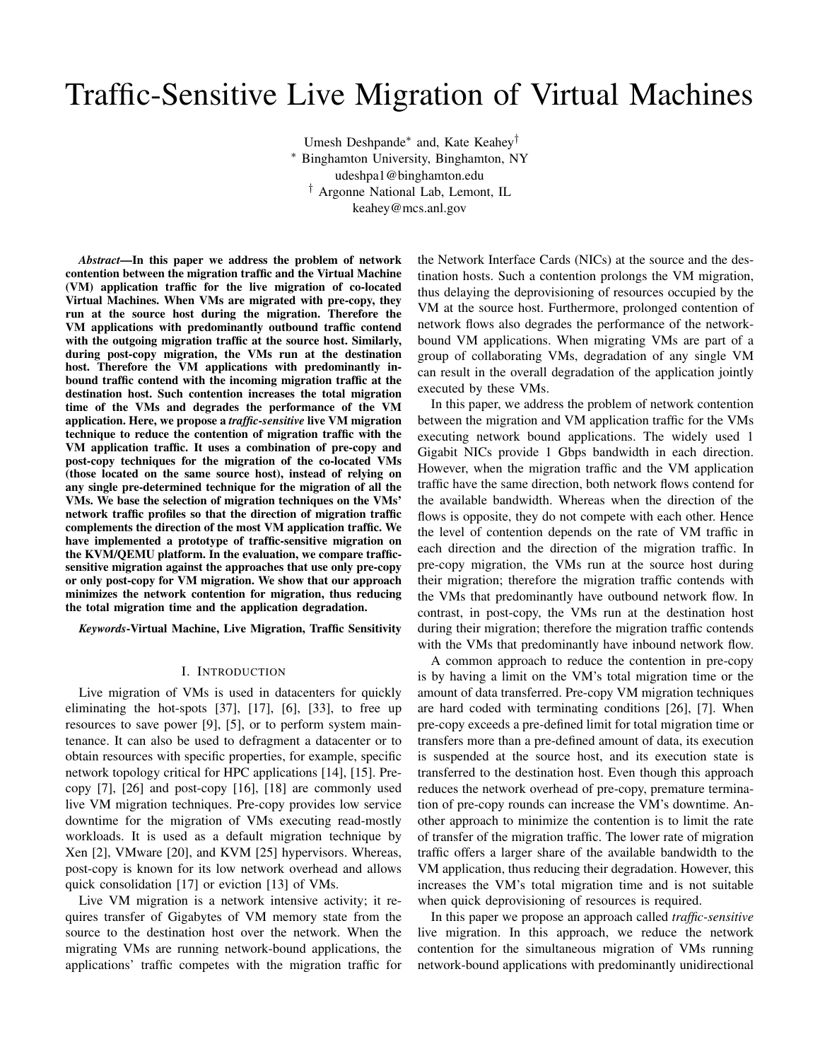# Traffic-Sensitive Live Migration of Virtual Machines

Umesh Deshpande<sup>\*</sup> and, Kate Keahey<sup>†</sup> ⇤ Binghamton University, Binghamton, NY udeshpa1@binghamton.edu *†* Argonne National Lab, Lemont, IL keahey@mcs.anl.gov

*Abstract*—In this paper we address the problem of network contention between the migration traffic and the Virtual Machine (VM) application traffic for the live migration of co-located Virtual Machines. When VMs are migrated with pre-copy, they run at the source host during the migration. Therefore the VM applications with predominantly outbound traffic contend with the outgoing migration traffic at the source host. Similarly, during post-copy migration, the VMs run at the destination host. Therefore the VM applications with predominantly inbound traffic contend with the incoming migration traffic at the destination host. Such contention increases the total migration time of the VMs and degrades the performance of the VM application. Here, we propose a *traffic-sensitive* live VM migration technique to reduce the contention of migration traffic with the VM application traffic. It uses a combination of pre-copy and post-copy techniques for the migration of the co-located VMs (those located on the same source host), instead of relying on any single pre-determined technique for the migration of all the VMs. We base the selection of migration techniques on the VMs' network traffic profiles so that the direction of migration traffic complements the direction of the most VM application traffic. We have implemented a prototype of traffic-sensitive migration on the KVM/QEMU platform. In the evaluation, we compare trafficsensitive migration against the approaches that use only pre-copy or only post-copy for VM migration. We show that our approach minimizes the network contention for migration, thus reducing the total migration time and the application degradation.

*Keywords*-Virtual Machine, Live Migration, Traffic Sensitivity

#### I. INTRODUCTION

Live migration of VMs is used in datacenters for quickly eliminating the hot-spots [37], [17], [6], [33], to free up resources to save power [9], [5], or to perform system maintenance. It can also be used to defragment a datacenter or to obtain resources with specific properties, for example, specific network topology critical for HPC applications [14], [15]. Precopy [7], [26] and post-copy [16], [18] are commonly used live VM migration techniques. Pre-copy provides low service downtime for the migration of VMs executing read-mostly workloads. It is used as a default migration technique by Xen [2], VMware [20], and KVM [25] hypervisors. Whereas, post-copy is known for its low network overhead and allows quick consolidation [17] or eviction [13] of VMs.

Live VM migration is a network intensive activity; it requires transfer of Gigabytes of VM memory state from the source to the destination host over the network. When the migrating VMs are running network-bound applications, the applications' traffic competes with the migration traffic for the Network Interface Cards (NICs) at the source and the destination hosts. Such a contention prolongs the VM migration, thus delaying the deprovisioning of resources occupied by the VM at the source host. Furthermore, prolonged contention of network flows also degrades the performance of the networkbound VM applications. When migrating VMs are part of a group of collaborating VMs, degradation of any single VM can result in the overall degradation of the application jointly executed by these VMs.

In this paper, we address the problem of network contention between the migration and VM application traffic for the VMs executing network bound applications. The widely used 1 Gigabit NICs provide 1 Gbps bandwidth in each direction. However, when the migration traffic and the VM application traffic have the same direction, both network flows contend for the available bandwidth. Whereas when the direction of the flows is opposite, they do not compete with each other. Hence the level of contention depends on the rate of VM traffic in each direction and the direction of the migration traffic. In pre-copy migration, the VMs run at the source host during their migration; therefore the migration traffic contends with the VMs that predominantly have outbound network flow. In contrast, in post-copy, the VMs run at the destination host during their migration; therefore the migration traffic contends with the VMs that predominantly have inbound network flow.

A common approach to reduce the contention in pre-copy is by having a limit on the VM's total migration time or the amount of data transferred. Pre-copy VM migration techniques are hard coded with terminating conditions [26], [7]. When pre-copy exceeds a pre-defined limit for total migration time or transfers more than a pre-defined amount of data, its execution is suspended at the source host, and its execution state is transferred to the destination host. Even though this approach reduces the network overhead of pre-copy, premature termination of pre-copy rounds can increase the VM's downtime. Another approach to minimize the contention is to limit the rate of transfer of the migration traffic. The lower rate of migration traffic offers a larger share of the available bandwidth to the VM application, thus reducing their degradation. However, this increases the VM's total migration time and is not suitable when quick deprovisioning of resources is required.

In this paper we propose an approach called *traffic-sensitive* live migration. In this approach, we reduce the network contention for the simultaneous migration of VMs running network-bound applications with predominantly unidirectional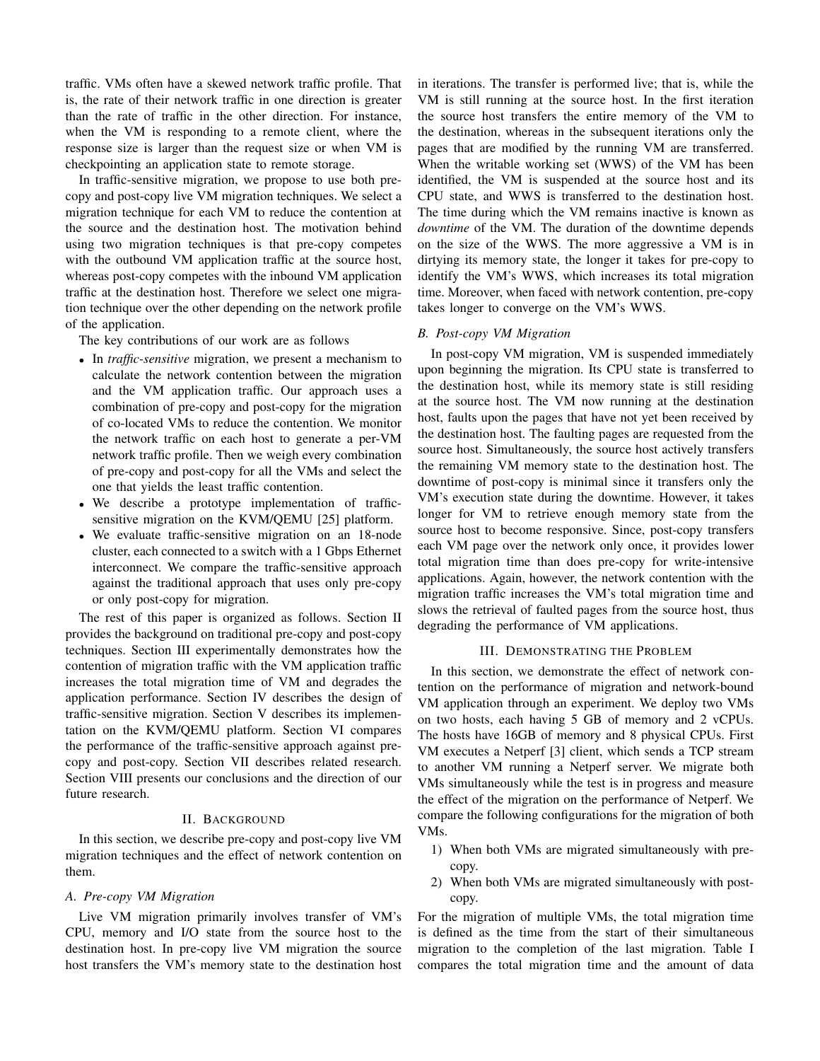traffic. VMs often have a skewed network traffic profile. That is, the rate of their network traffic in one direction is greater than the rate of traffic in the other direction. For instance, when the VM is responding to a remote client, where the response size is larger than the request size or when VM is checkpointing an application state to remote storage.

In traffic-sensitive migration, we propose to use both precopy and post-copy live VM migration techniques. We select a migration technique for each VM to reduce the contention at the source and the destination host. The motivation behind using two migration techniques is that pre-copy competes with the outbound VM application traffic at the source host, whereas post-copy competes with the inbound VM application traffic at the destination host. Therefore we select one migration technique over the other depending on the network profile of the application.

The key contributions of our work are as follows

- *•* In *traffic-sensitive* migration, we present a mechanism to calculate the network contention between the migration and the VM application traffic. Our approach uses a combination of pre-copy and post-copy for the migration of co-located VMs to reduce the contention. We monitor the network traffic on each host to generate a per-VM network traffic profile. Then we weigh every combination of pre-copy and post-copy for all the VMs and select the one that yields the least traffic contention.
- *•* We describe a prototype implementation of trafficsensitive migration on the KVM/QEMU [25] platform.
- *•* We evaluate traffic-sensitive migration on an 18-node cluster, each connected to a switch with a 1 Gbps Ethernet interconnect. We compare the traffic-sensitive approach against the traditional approach that uses only pre-copy or only post-copy for migration.

The rest of this paper is organized as follows. Section II provides the background on traditional pre-copy and post-copy techniques. Section III experimentally demonstrates how the contention of migration traffic with the VM application traffic increases the total migration time of VM and degrades the application performance. Section IV describes the design of traffic-sensitive migration. Section V describes its implementation on the KVM/QEMU platform. Section VI compares the performance of the traffic-sensitive approach against precopy and post-copy. Section VII describes related research. Section VIII presents our conclusions and the direction of our future research.

#### II. BACKGROUND

In this section, we describe pre-copy and post-copy live VM migration techniques and the effect of network contention on them.

## *A. Pre-copy VM Migration*

Live VM migration primarily involves transfer of VM's CPU, memory and I/O state from the source host to the destination host. In pre-copy live VM migration the source host transfers the VM's memory state to the destination host

in iterations. The transfer is performed live; that is, while the VM is still running at the source host. In the first iteration the source host transfers the entire memory of the VM to the destination, whereas in the subsequent iterations only the pages that are modified by the running VM are transferred. When the writable working set (WWS) of the VM has been identified, the VM is suspended at the source host and its CPU state, and WWS is transferred to the destination host. The time during which the VM remains inactive is known as *downtime* of the VM. The duration of the downtime depends on the size of the WWS. The more aggressive a VM is in dirtying its memory state, the longer it takes for pre-copy to identify the VM's WWS, which increases its total migration time. Moreover, when faced with network contention, pre-copy takes longer to converge on the VM's WWS.

#### *B. Post-copy VM Migration*

In post-copy VM migration, VM is suspended immediately upon beginning the migration. Its CPU state is transferred to the destination host, while its memory state is still residing at the source host. The VM now running at the destination host, faults upon the pages that have not yet been received by the destination host. The faulting pages are requested from the source host. Simultaneously, the source host actively transfers the remaining VM memory state to the destination host. The downtime of post-copy is minimal since it transfers only the VM's execution state during the downtime. However, it takes longer for VM to retrieve enough memory state from the source host to become responsive. Since, post-copy transfers each VM page over the network only once, it provides lower total migration time than does pre-copy for write-intensive applications. Again, however, the network contention with the migration traffic increases the VM's total migration time and slows the retrieval of faulted pages from the source host, thus degrading the performance of VM applications.

#### III. DEMONSTRATING THE PROBLEM

In this section, we demonstrate the effect of network contention on the performance of migration and network-bound VM application through an experiment. We deploy two VMs on two hosts, each having 5 GB of memory and 2 vCPUs. The hosts have 16GB of memory and 8 physical CPUs. First VM executes a Netperf [3] client, which sends a TCP stream to another VM running a Netperf server. We migrate both VMs simultaneously while the test is in progress and measure the effect of the migration on the performance of Netperf. We compare the following configurations for the migration of both VMs.

- 1) When both VMs are migrated simultaneously with precopy.
- 2) When both VMs are migrated simultaneously with postcopy.

For the migration of multiple VMs, the total migration time is defined as the time from the start of their simultaneous migration to the completion of the last migration. Table I compares the total migration time and the amount of data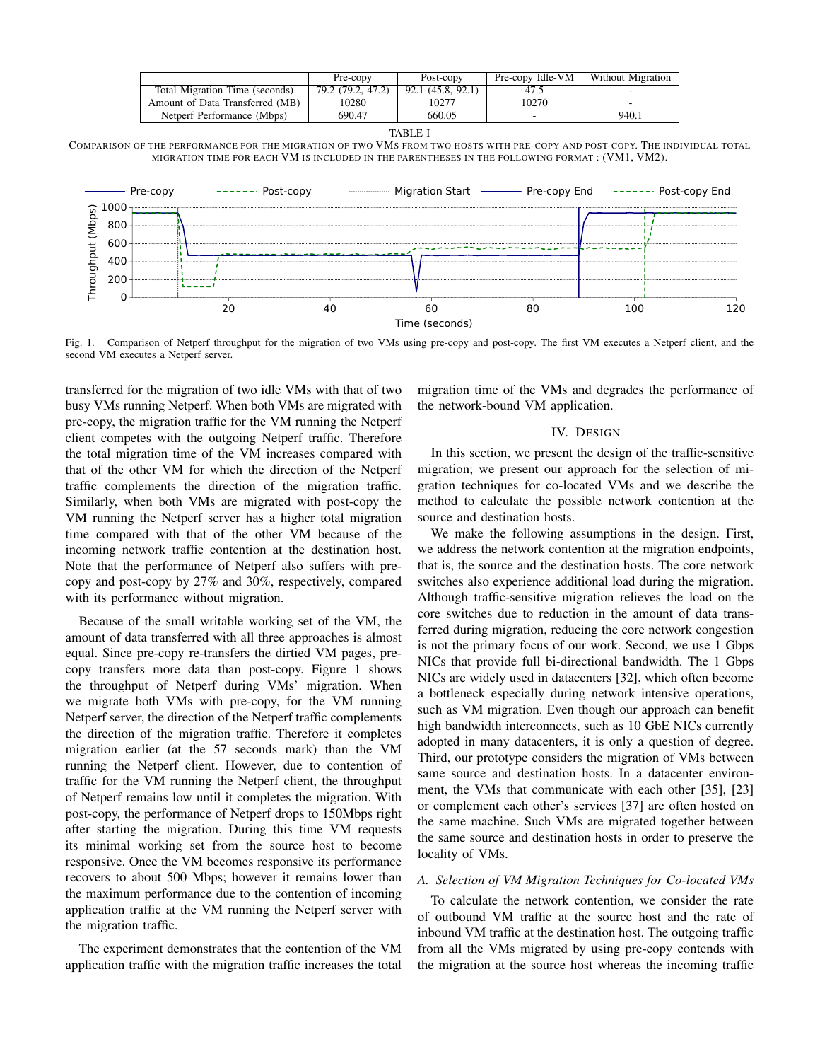|                                 | Pre-copy          | Post-copy        | Pre-copy Idle-VM | Without Migration |
|---------------------------------|-------------------|------------------|------------------|-------------------|
| Total Migration Time (seconds)  | 79.2 (79.2, 47.2) | 92.1(45.8, 92.1) | 47.5             |                   |
| Amount of Data Transferred (MB) | 10280             | 10277            | 10270            |                   |
| Netperf Performance (Mbps)      | 690.47            | 660.05           |                  | 940.1             |

TABLE I

COMPARISON OF THE PERFORMANCE FOR THE MIGRATION OF TWO VMS FROM TWO HOSTS WITH PRE-COPY AND POST-COPY. THE INDIVIDUAL TOTAL MIGRATION TIME FOR EACH VM IS INCLUDED IN THE PARENTHESES IN THE FOLLOWING FORMAT : (VM1, VM2).



Fig. 1. Comparison of Netperf throughput for the migration of two VMs using pre-copy and post-copy. The first VM executes a Netperf client, and the second VM executes a Netperf server.

transferred for the migration of two idle VMs with that of two busy VMs running Netperf. When both VMs are migrated with pre-copy, the migration traffic for the VM running the Netperf client competes with the outgoing Netperf traffic. Therefore the total migration time of the VM increases compared with that of the other VM for which the direction of the Netperf traffic complements the direction of the migration traffic. Similarly, when both VMs are migrated with post-copy the VM running the Netperf server has a higher total migration time compared with that of the other VM because of the incoming network traffic contention at the destination host. Note that the performance of Netperf also suffers with precopy and post-copy by 27% and 30%, respectively, compared with its performance without migration.

Because of the small writable working set of the VM, the amount of data transferred with all three approaches is almost equal. Since pre-copy re-transfers the dirtied VM pages, precopy transfers more data than post-copy. Figure 1 shows the throughput of Netperf during VMs' migration. When we migrate both VMs with pre-copy, for the VM running Netperf server, the direction of the Netperf traffic complements the direction of the migration traffic. Therefore it completes migration earlier (at the 57 seconds mark) than the VM running the Netperf client. However, due to contention of traffic for the VM running the Netperf client, the throughput of Netperf remains low until it completes the migration. With post-copy, the performance of Netperf drops to 150Mbps right after starting the migration. During this time VM requests its minimal working set from the source host to become responsive. Once the VM becomes responsive its performance recovers to about 500 Mbps; however it remains lower than the maximum performance due to the contention of incoming application traffic at the VM running the Netperf server with the migration traffic.

The experiment demonstrates that the contention of the VM application traffic with the migration traffic increases the total migration time of the VMs and degrades the performance of the network-bound VM application.

## IV. DESIGN

In this section, we present the design of the traffic-sensitive migration; we present our approach for the selection of migration techniques for co-located VMs and we describe the method to calculate the possible network contention at the source and destination hosts.

We make the following assumptions in the design. First, we address the network contention at the migration endpoints, that is, the source and the destination hosts. The core network switches also experience additional load during the migration. Although traffic-sensitive migration relieves the load on the core switches due to reduction in the amount of data transferred during migration, reducing the core network congestion is not the primary focus of our work. Second, we use 1 Gbps NICs that provide full bi-directional bandwidth. The 1 Gbps NICs are widely used in datacenters [32], which often become a bottleneck especially during network intensive operations, such as VM migration. Even though our approach can benefit high bandwidth interconnects, such as 10 GbE NICs currently adopted in many datacenters, it is only a question of degree. Third, our prototype considers the migration of VMs between same source and destination hosts. In a datacenter environment, the VMs that communicate with each other [35], [23] or complement each other's services [37] are often hosted on the same machine. Such VMs are migrated together between the same source and destination hosts in order to preserve the locality of VMs.

## *A. Selection of VM Migration Techniques for Co-located VMs*

To calculate the network contention, we consider the rate of outbound VM traffic at the source host and the rate of inbound VM traffic at the destination host. The outgoing traffic from all the VMs migrated by using pre-copy contends with the migration at the source host whereas the incoming traffic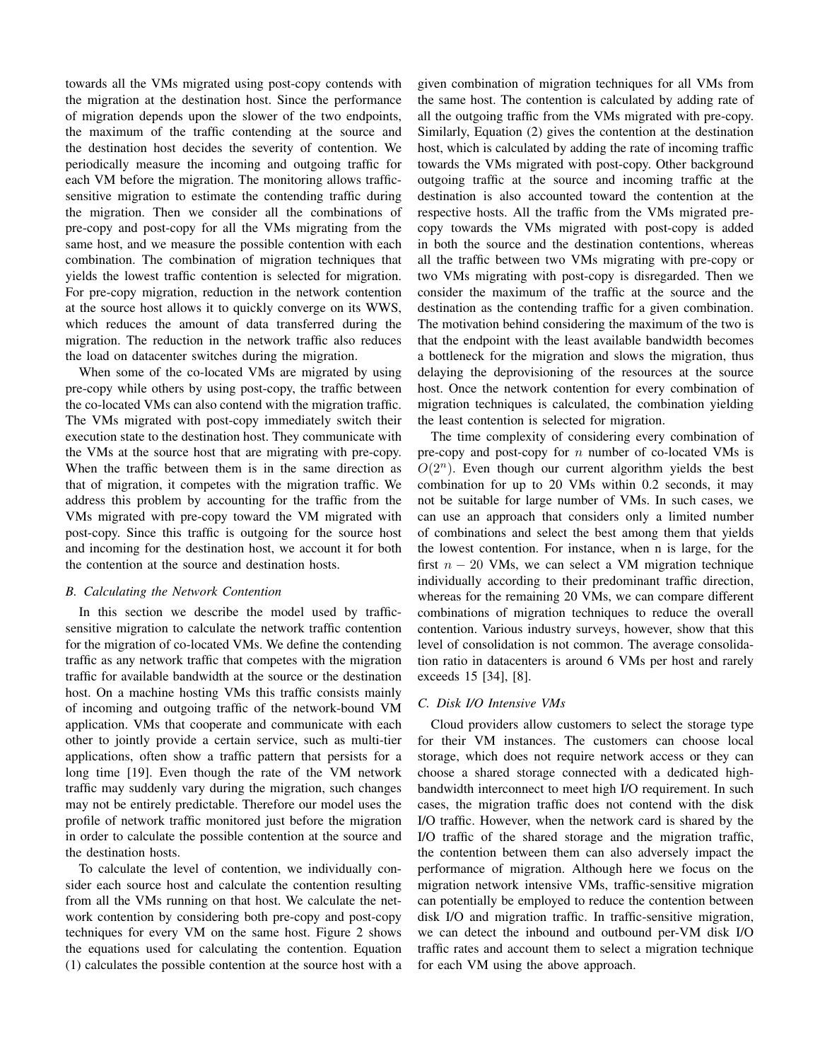towards all the VMs migrated using post-copy contends with the migration at the destination host. Since the performance of migration depends upon the slower of the two endpoints, the maximum of the traffic contending at the source and the destination host decides the severity of contention. We periodically measure the incoming and outgoing traffic for each VM before the migration. The monitoring allows trafficsensitive migration to estimate the contending traffic during the migration. Then we consider all the combinations of pre-copy and post-copy for all the VMs migrating from the same host, and we measure the possible contention with each combination. The combination of migration techniques that yields the lowest traffic contention is selected for migration. For pre-copy migration, reduction in the network contention at the source host allows it to quickly converge on its WWS, which reduces the amount of data transferred during the migration. The reduction in the network traffic also reduces the load on datacenter switches during the migration.

When some of the co-located VMs are migrated by using pre-copy while others by using post-copy, the traffic between the co-located VMs can also contend with the migration traffic. The VMs migrated with post-copy immediately switch their execution state to the destination host. They communicate with the VMs at the source host that are migrating with pre-copy. When the traffic between them is in the same direction as that of migration, it competes with the migration traffic. We address this problem by accounting for the traffic from the VMs migrated with pre-copy toward the VM migrated with post-copy. Since this traffic is outgoing for the source host and incoming for the destination host, we account it for both the contention at the source and destination hosts.

#### *B. Calculating the Network Contention*

In this section we describe the model used by trafficsensitive migration to calculate the network traffic contention for the migration of co-located VMs. We define the contending traffic as any network traffic that competes with the migration traffic for available bandwidth at the source or the destination host. On a machine hosting VMs this traffic consists mainly of incoming and outgoing traffic of the network-bound VM application. VMs that cooperate and communicate with each other to jointly provide a certain service, such as multi-tier applications, often show a traffic pattern that persists for a long time [19]. Even though the rate of the VM network traffic may suddenly vary during the migration, such changes may not be entirely predictable. Therefore our model uses the profile of network traffic monitored just before the migration in order to calculate the possible contention at the source and the destination hosts.

To calculate the level of contention, we individually consider each source host and calculate the contention resulting from all the VMs running on that host. We calculate the network contention by considering both pre-copy and post-copy techniques for every VM on the same host. Figure 2 shows the equations used for calculating the contention. Equation (1) calculates the possible contention at the source host with a given combination of migration techniques for all VMs from the same host. The contention is calculated by adding rate of all the outgoing traffic from the VMs migrated with pre-copy. Similarly, Equation (2) gives the contention at the destination host, which is calculated by adding the rate of incoming traffic towards the VMs migrated with post-copy. Other background outgoing traffic at the source and incoming traffic at the destination is also accounted toward the contention at the respective hosts. All the traffic from the VMs migrated precopy towards the VMs migrated with post-copy is added in both the source and the destination contentions, whereas all the traffic between two VMs migrating with pre-copy or two VMs migrating with post-copy is disregarded. Then we consider the maximum of the traffic at the source and the destination as the contending traffic for a given combination. The motivation behind considering the maximum of the two is that the endpoint with the least available bandwidth becomes a bottleneck for the migration and slows the migration, thus delaying the deprovisioning of the resources at the source host. Once the network contention for every combination of migration techniques is calculated, the combination yielding the least contention is selected for migration.

The time complexity of considering every combination of pre-copy and post-copy for *n* number of co-located VMs is  $O(2<sup>n</sup>)$ . Even though our current algorithm yields the best combination for up to 20 VMs within 0.2 seconds, it may not be suitable for large number of VMs. In such cases, we can use an approach that considers only a limited number of combinations and select the best among them that yields the lowest contention. For instance, when n is large, for the first  $n - 20$  VMs, we can select a VM migration technique individually according to their predominant traffic direction, whereas for the remaining 20 VMs, we can compare different combinations of migration techniques to reduce the overall contention. Various industry surveys, however, show that this level of consolidation is not common. The average consolidation ratio in datacenters is around 6 VMs per host and rarely exceeds 15 [34], [8].

#### *C. Disk I/O Intensive VMs*

Cloud providers allow customers to select the storage type for their VM instances. The customers can choose local storage, which does not require network access or they can choose a shared storage connected with a dedicated highbandwidth interconnect to meet high I/O requirement. In such cases, the migration traffic does not contend with the disk I/O traffic. However, when the network card is shared by the I/O traffic of the shared storage and the migration traffic, the contention between them can also adversely impact the performance of migration. Although here we focus on the migration network intensive VMs, traffic-sensitive migration can potentially be employed to reduce the contention between disk I/O and migration traffic. In traffic-sensitive migration, we can detect the inbound and outbound per-VM disk I/O traffic rates and account them to select a migration technique for each VM using the above approach.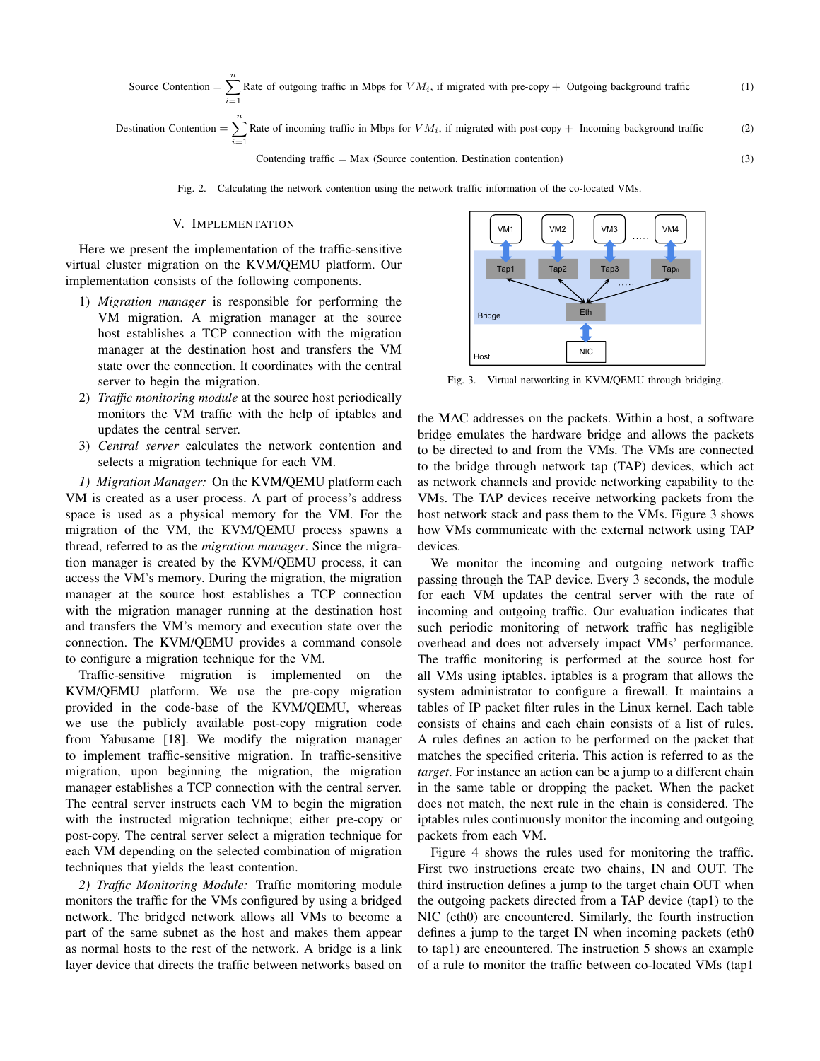Source Contention  $= \sum_{n=1}^{n}$ *i*=1 Rate of outgoing traffic in Mbps for  $VM_i$ , if migrated with pre-copy  $+$  Outgoing background traffic  $(1)$ 

Destination Contention  $= \sum_{n=1}^{n}$ *i*=1 Rate of incoming traffic in Mbps for  $VM_i$ , if migrated with post-copy  $+$  Incoming background traffic (2)

Contending traffic  $=$  Max (Source contention, Destination contention) (3)

Fig. 2. Calculating the network contention using the network traffic information of the co-located VMs.

#### V. IMPLEMENTATION

Here we present the implementation of the traffic-sensitive virtual cluster migration on the KVM/QEMU platform. Our implementation consists of the following components.

- 1) *Migration manager* is responsible for performing the VM migration. A migration manager at the source host establishes a TCP connection with the migration manager at the destination host and transfers the VM state over the connection. It coordinates with the central server to begin the migration.
- 2) *Traffic monitoring module* at the source host periodically monitors the VM traffic with the help of iptables and updates the central server.
- 3) *Central server* calculates the network contention and selects a migration technique for each VM.

*1) Migration Manager:* On the KVM/QEMU platform each VM is created as a user process. A part of process's address space is used as a physical memory for the VM. For the migration of the VM, the KVM/QEMU process spawns a thread, referred to as the *migration manager*. Since the migration manager is created by the KVM/QEMU process, it can access the VM's memory. During the migration, the migration manager at the source host establishes a TCP connection with the migration manager running at the destination host and transfers the VM's memory and execution state over the connection. The KVM/QEMU provides a command console to configure a migration technique for the VM.

Traffic-sensitive migration is implemented on the KVM/QEMU platform. We use the pre-copy migration provided in the code-base of the KVM/QEMU, whereas we use the publicly available post-copy migration code from Yabusame [18]. We modify the migration manager to implement traffic-sensitive migration. In traffic-sensitive migration, upon beginning the migration, the migration manager establishes a TCP connection with the central server. The central server instructs each VM to begin the migration with the instructed migration technique; either pre-copy or post-copy. The central server select a migration technique for each VM depending on the selected combination of migration techniques that yields the least contention.

*2) Traffic Monitoring Module:* Traffic monitoring module monitors the traffic for the VMs configured by using a bridged network. The bridged network allows all VMs to become a part of the same subnet as the host and makes them appear as normal hosts to the rest of the network. A bridge is a link layer device that directs the traffic between networks based on



Fig. 3. Virtual networking in KVM/QEMU through bridging.

the MAC addresses on the packets. Within a host, a software bridge emulates the hardware bridge and allows the packets to be directed to and from the VMs. The VMs are connected to the bridge through network tap (TAP) devices, which act as network channels and provide networking capability to the VMs. The TAP devices receive networking packets from the host network stack and pass them to the VMs. Figure 3 shows how VMs communicate with the external network using TAP devices.

We monitor the incoming and outgoing network traffic passing through the TAP device. Every 3 seconds, the module for each VM updates the central server with the rate of incoming and outgoing traffic. Our evaluation indicates that such periodic monitoring of network traffic has negligible overhead and does not adversely impact VMs' performance. The traffic monitoring is performed at the source host for all VMs using iptables. iptables is a program that allows the system administrator to configure a firewall. It maintains a tables of IP packet filter rules in the Linux kernel. Each table consists of chains and each chain consists of a list of rules. A rules defines an action to be performed on the packet that matches the specified criteria. This action is referred to as the *target*. For instance an action can be a jump to a different chain in the same table or dropping the packet. When the packet does not match, the next rule in the chain is considered. The iptables rules continuously monitor the incoming and outgoing packets from each VM.

Figure 4 shows the rules used for monitoring the traffic. First two instructions create two chains, IN and OUT. The third instruction defines a jump to the target chain OUT when the outgoing packets directed from a TAP device (tap1) to the NIC (eth0) are encountered. Similarly, the fourth instruction defines a jump to the target IN when incoming packets (eth0 to tap1) are encountered. The instruction 5 shows an example of a rule to monitor the traffic between co-located VMs (tap1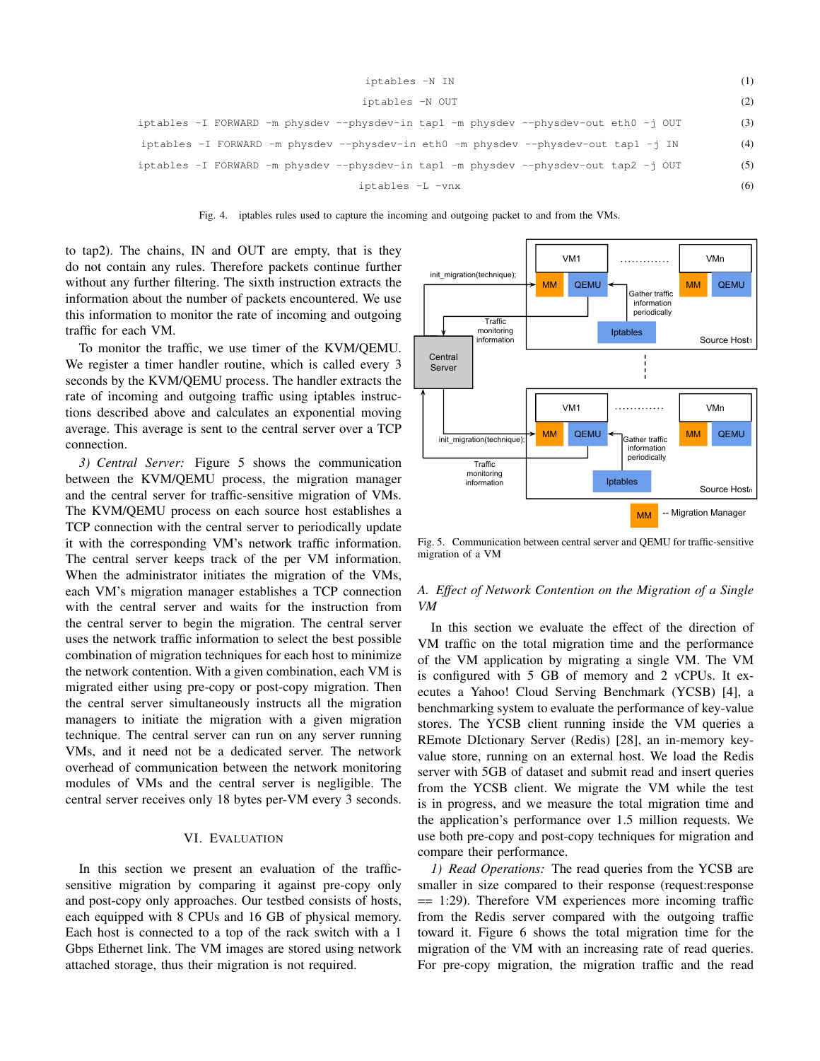| iptables -N IN                                                                        |     |
|---------------------------------------------------------------------------------------|-----|
| iptables -N OUT                                                                       | (2) |
| iptables -I FORWARD -m physdev --physdev-in tapl -m physdev --physdev-out eth0 -j OUT | (3) |
| iptables -I FORWARD -m physdev --physdev-in eth0 -m physdev --physdev-out tap1 -j IN  | (4) |
| iptables -I FORWARD -m physdev --physdev-in tap1 -m physdev --physdev-out tap2 -j OUT | (5) |
| iptables -L -vnx                                                                      | (6) |

Fig. 4. iptables rules used to capture the incoming and outgoing packet to and from the VMs.

to tap2). The chains, IN and OUT are empty, that is they do not contain any rules. Therefore packets continue further without any further filtering. The sixth instruction extracts the information about the number of packets encountered. We use this information to monitor the rate of incoming and outgoing traffic for each VM.

To monitor the traffic, we use timer of the KVM/QEMU. We register a timer handler routine, which is called every 3 seconds by the KVM/QEMU process. The handler extracts the rate of incoming and outgoing traffic using iptables instructions described above and calculates an exponential moving average. This average is sent to the central server over a TCP connection.

*3) Central Server:* Figure 5 shows the communication between the KVM/QEMU process, the migration manager and the central server for traffic-sensitive migration of VMs. The KVM/QEMU process on each source host establishes a TCP connection with the central server to periodically update it with the corresponding VM's network traffic information. The central server keeps track of the per VM information. When the administrator initiates the migration of the VMs, each VM's migration manager establishes a TCP connection with the central server and waits for the instruction from the central server to begin the migration. The central server uses the network traffic information to select the best possible combination of migration techniques for each host to minimize the network contention. With a given combination, each VM is migrated either using pre-copy or post-copy migration. Then the central server simultaneously instructs all the migration managers to initiate the migration with a given migration technique. The central server can run on any server running VMs, and it need not be a dedicated server. The network overhead of communication between the network monitoring modules of VMs and the central server is negligible. The central server receives only 18 bytes per-VM every 3 seconds.

## VI. EVALUATION

In this section we present an evaluation of the trafficsensitive migration by comparing it against pre-copy only and post-copy only approaches. Our testbed consists of hosts, each equipped with 8 CPUs and 16 GB of physical memory. Each host is connected to a top of the rack switch with a 1 Gbps Ethernet link. The VM images are stored using network attached storage, thus their migration is not required.



Fig. 5. Communication between central server and QEMU for traffic-sensitive migration of a VM

## *A. Effect of Network Contention on the Migration of a Single VM*

In this section we evaluate the effect of the direction of VM traffic on the total migration time and the performance of the VM application by migrating a single VM. The VM is configured with 5 GB of memory and 2 vCPUs. It executes a Yahoo! Cloud Serving Benchmark (YCSB) [4], a benchmarking system to evaluate the performance of key-value stores. The YCSB client running inside the VM queries a REmote DIctionary Server (Redis) [28], an in-memory keyvalue store, running on an external host. We load the Redis server with 5GB of dataset and submit read and insert queries from the YCSB client. We migrate the VM while the test is in progress, and we measure the total migration time and the application's performance over 1.5 million requests. We use both pre-copy and post-copy techniques for migration and compare their performance.

*1) Read Operations:* The read queries from the YCSB are smaller in size compared to their response (request:response == 1:29). Therefore VM experiences more incoming traffic from the Redis server compared with the outgoing traffic toward it. Figure 6 shows the total migration time for the migration of the VM with an increasing rate of read queries. For pre-copy migration, the migration traffic and the read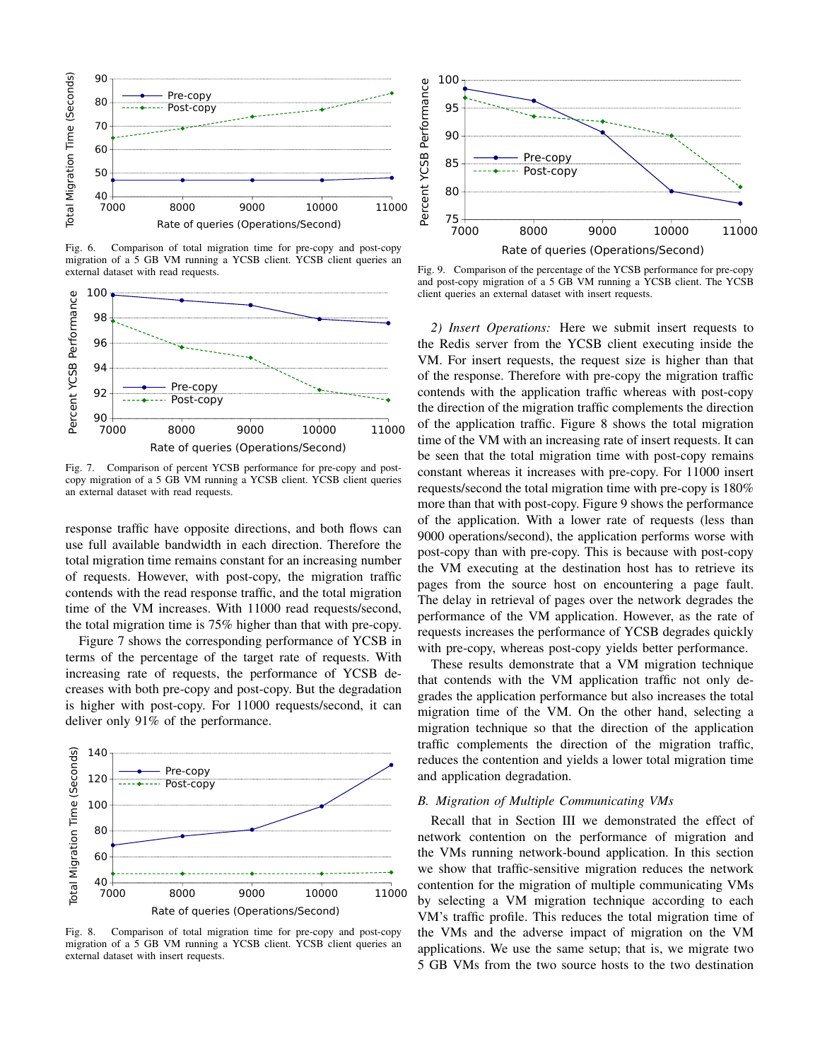

Fig. 6. Comparison of total migration time for pre-copy and post-copy migration of a 5 GB VM running a YCSB client. YCSB client queries an external dataset with read requests.



Fig. 7. Comparison of percent YCSB performance for pre-copy and postcopy migration of a 5 GB VM running a YCSB client. YCSB client queries an external dataset with read requests.

response traffic have opposite directions, and both flows can use full available bandwidth in each direction. Therefore the total migration time remains constant for an increasing number of requests. However, with post-copy, the migration traffic contends with the read response traffic, and the total migration time of the VM increases. With 11000 read requests/second, the total migration time is 75% higher than that with pre-copy.

Figure 7 shows the corresponding performance of YCSB in terms of the percentage of the target rate of requests. With increasing rate of requests, the performance of YCSB decreases with both pre-copy and post-copy. But the degradation is higher with post-copy. For 11000 requests/second, it can deliver only 91% of the performance.



Fig. 8. Comparison of total migration time for pre-copy and post-copy migration of a 5 GB VM running a YCSB client. YCSB client queries an external dataset with insert requests.



Fig. 9. Comparison of the percentage of the YCSB performance for pre-copy and post-copy migration of a 5 GB VM running a YCSB client. The YCSB client queries an external dataset with insert requests.

*2) Insert Operations:* Here we submit insert requests to the Redis server from the YCSB client executing inside the VM. For insert requests, the request size is higher than that of the response. Therefore with pre-copy the migration traffic contends with the application traffic whereas with post-copy the direction of the migration traffic complements the direction of the application traffic. Figure 8 shows the total migration time of the VM with an increasing rate of insert requests. It can be seen that the total migration time with post-copy remains constant whereas it increases with pre-copy. For 11000 insert requests/second the total migration time with pre-copy is 180% more than that with post-copy. Figure 9 shows the performance of the application. With a lower rate of requests (less than 9000 operations/second), the application performs worse with post-copy than with pre-copy. This is because with post-copy the VM executing at the destination host has to retrieve its pages from the source host on encountering a page fault. The delay in retrieval of pages over the network degrades the performance of the VM application. However, as the rate of requests increases the performance of YCSB degrades quickly with pre-copy, whereas post-copy yields better performance.

These results demonstrate that a VM migration technique that contends with the VM application traffic not only degrades the application performance but also increases the total migration time of the VM. On the other hand, selecting a migration technique so that the direction of the application traffic complements the direction of the migration traffic, reduces the contention and yields a lower total migration time and application degradation.

#### *B. Migration of Multiple Communicating VMs*

Recall that in Section III we demonstrated the effect of network contention on the performance of migration and the VMs running network-bound application. In this section we show that traffic-sensitive migration reduces the network contention for the migration of multiple communicating VMs by selecting a VM migration technique according to each VM's traffic profile. This reduces the total migration time of the VMs and the adverse impact of migration on the VM applications. We use the same setup; that is, we migrate two 5 GB VMs from the two source hosts to the two destination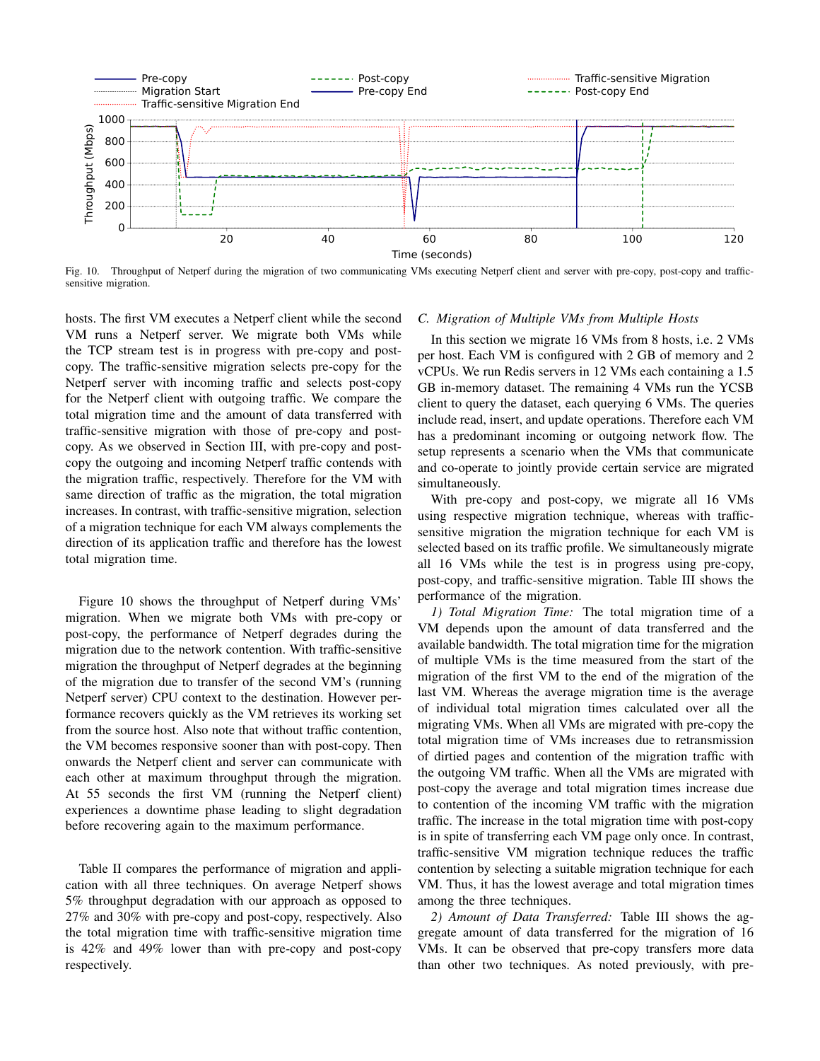

Fig. 10. Throughput of Netperf during the migration of two communicating VMs executing Netperf client and server with pre-copy, post-copy and trafficsensitive migration.

hosts. The first VM executes a Netperf client while the second VM runs a Netperf server. We migrate both VMs while the TCP stream test is in progress with pre-copy and postcopy. The traffic-sensitive migration selects pre-copy for the Netperf server with incoming traffic and selects post-copy for the Netperf client with outgoing traffic. We compare the total migration time and the amount of data transferred with traffic-sensitive migration with those of pre-copy and postcopy. As we observed in Section III, with pre-copy and postcopy the outgoing and incoming Netperf traffic contends with the migration traffic, respectively. Therefore for the VM with same direction of traffic as the migration, the total migration increases. In contrast, with traffic-sensitive migration, selection of a migration technique for each VM always complements the direction of its application traffic and therefore has the lowest total migration time.

Figure 10 shows the throughput of Netperf during VMs' migration. When we migrate both VMs with pre-copy or post-copy, the performance of Netperf degrades during the migration due to the network contention. With traffic-sensitive migration the throughput of Netperf degrades at the beginning of the migration due to transfer of the second VM's (running Netperf server) CPU context to the destination. However performance recovers quickly as the VM retrieves its working set from the source host. Also note that without traffic contention, the VM becomes responsive sooner than with post-copy. Then onwards the Netperf client and server can communicate with each other at maximum throughput through the migration. At 55 seconds the first VM (running the Netperf client) experiences a downtime phase leading to slight degradation before recovering again to the maximum performance.

Table II compares the performance of migration and application with all three techniques. On average Netperf shows 5% throughput degradation with our approach as opposed to 27% and 30% with pre-copy and post-copy, respectively. Also the total migration time with traffic-sensitive migration time is 42% and 49% lower than with pre-copy and post-copy respectively.

### *C. Migration of Multiple VMs from Multiple Hosts*

In this section we migrate 16 VMs from 8 hosts, i.e. 2 VMs per host. Each VM is configured with 2 GB of memory and 2 vCPUs. We run Redis servers in 12 VMs each containing a 1.5 GB in-memory dataset. The remaining 4 VMs run the YCSB client to query the dataset, each querying 6 VMs. The queries include read, insert, and update operations. Therefore each VM has a predominant incoming or outgoing network flow. The setup represents a scenario when the VMs that communicate and co-operate to jointly provide certain service are migrated simultaneously.

With pre-copy and post-copy, we migrate all 16 VMs using respective migration technique, whereas with trafficsensitive migration the migration technique for each VM is selected based on its traffic profile. We simultaneously migrate all 16 VMs while the test is in progress using pre-copy, post-copy, and traffic-sensitive migration. Table III shows the performance of the migration.

*1) Total Migration Time:* The total migration time of a VM depends upon the amount of data transferred and the available bandwidth. The total migration time for the migration of multiple VMs is the time measured from the start of the migration of the first VM to the end of the migration of the last VM. Whereas the average migration time is the average of individual total migration times calculated over all the migrating VMs. When all VMs are migrated with pre-copy the total migration time of VMs increases due to retransmission of dirtied pages and contention of the migration traffic with the outgoing VM traffic. When all the VMs are migrated with post-copy the average and total migration times increase due to contention of the incoming VM traffic with the migration traffic. The increase in the total migration time with post-copy is in spite of transferring each VM page only once. In contrast, traffic-sensitive VM migration technique reduces the traffic contention by selecting a suitable migration technique for each VM. Thus, it has the lowest average and total migration times among the three techniques.

*2) Amount of Data Transferred:* Table III shows the aggregate amount of data transferred for the migration of 16 VMs. It can be observed that pre-copy transfers more data than other two techniques. As noted previously, with pre-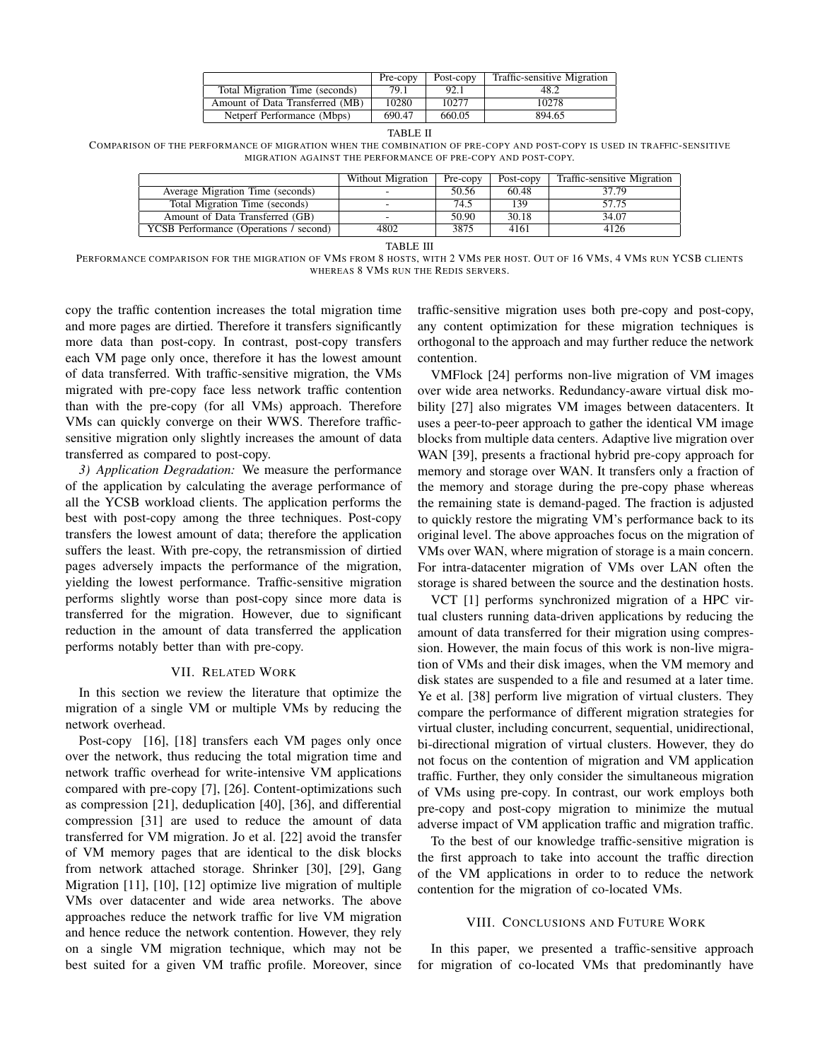|                                 | Pre-copy | Post-copy | Traffic-sensitive Migration |
|---------------------------------|----------|-----------|-----------------------------|
| Total Migration Time (seconds)  | 79.1     | 92.1      | 48.2                        |
| Amount of Data Transferred (MB) | 10280    | 10277     | 10278                       |
| Netperf Performance (Mbps)      | 690.47   | 660.05    | 894.65                      |

| ВI<br>۰. |
|----------|
|----------|

COMPARISON OF THE PERFORMANCE OF MIGRATION WHEN THE COMBINATION OF PRE-COPY AND POST-COPY IS USED IN TRAFFIC-SENSITIVE MIGRATION AGAINST THE PERFORMANCE OF PRE-COPY AND POST-COPY.

|                                        | Without Migration | Pre-copy | Post-copy | Traffic-sensitive Migration |
|----------------------------------------|-------------------|----------|-----------|-----------------------------|
| Average Migration Time (seconds)       |                   | 50.56    | 60.48     | 37.79                       |
| Total Migration Time (seconds)         |                   | 74.5     | 139       | 57.75                       |
| Amount of Data Transferred (GB)        |                   | 50.90    | 30.18     | 34.07                       |
| YCSB Performance (Operations / second) | 4802              | 3875     | 4161      | 4126                        |

TABLE III

PERFORMANCE COMPARISON FOR THE MIGRATION OF VMS FROM 8 HOSTS, WITH 2 VMS PER HOST. OUT OF 16 VMS, 4 VMS RUN YCSB CLIENTS WHEREAS 8 VMS RUN THE REDIS SERVERS.

copy the traffic contention increases the total migration time and more pages are dirtied. Therefore it transfers significantly more data than post-copy. In contrast, post-copy transfers each VM page only once, therefore it has the lowest amount of data transferred. With traffic-sensitive migration, the VMs migrated with pre-copy face less network traffic contention than with the pre-copy (for all VMs) approach. Therefore VMs can quickly converge on their WWS. Therefore trafficsensitive migration only slightly increases the amount of data transferred as compared to post-copy.

*3) Application Degradation:* We measure the performance of the application by calculating the average performance of all the YCSB workload clients. The application performs the best with post-copy among the three techniques. Post-copy transfers the lowest amount of data; therefore the application suffers the least. With pre-copy, the retransmission of dirtied pages adversely impacts the performance of the migration, yielding the lowest performance. Traffic-sensitive migration performs slightly worse than post-copy since more data is transferred for the migration. However, due to significant reduction in the amount of data transferred the application performs notably better than with pre-copy.

#### VII. RELATED WORK

In this section we review the literature that optimize the migration of a single VM or multiple VMs by reducing the network overhead.

Post-copy [16], [18] transfers each VM pages only once over the network, thus reducing the total migration time and network traffic overhead for write-intensive VM applications compared with pre-copy [7], [26]. Content-optimizations such as compression [21], deduplication [40], [36], and differential compression [31] are used to reduce the amount of data transferred for VM migration. Jo et al. [22] avoid the transfer of VM memory pages that are identical to the disk blocks from network attached storage. Shrinker [30], [29], Gang Migration [11], [10], [12] optimize live migration of multiple VMs over datacenter and wide area networks. The above approaches reduce the network traffic for live VM migration and hence reduce the network contention. However, they rely on a single VM migration technique, which may not be best suited for a given VM traffic profile. Moreover, since traffic-sensitive migration uses both pre-copy and post-copy, any content optimization for these migration techniques is orthogonal to the approach and may further reduce the network contention.

VMFlock [24] performs non-live migration of VM images over wide area networks. Redundancy-aware virtual disk mobility [27] also migrates VM images between datacenters. It uses a peer-to-peer approach to gather the identical VM image blocks from multiple data centers. Adaptive live migration over WAN [39], presents a fractional hybrid pre-copy approach for memory and storage over WAN. It transfers only a fraction of the memory and storage during the pre-copy phase whereas the remaining state is demand-paged. The fraction is adjusted to quickly restore the migrating VM's performance back to its original level. The above approaches focus on the migration of VMs over WAN, where migration of storage is a main concern. For intra-datacenter migration of VMs over LAN often the storage is shared between the source and the destination hosts.

VCT [1] performs synchronized migration of a HPC virtual clusters running data-driven applications by reducing the amount of data transferred for their migration using compression. However, the main focus of this work is non-live migration of VMs and their disk images, when the VM memory and disk states are suspended to a file and resumed at a later time. Ye et al. [38] perform live migration of virtual clusters. They compare the performance of different migration strategies for virtual cluster, including concurrent, sequential, unidirectional, bi-directional migration of virtual clusters. However, they do not focus on the contention of migration and VM application traffic. Further, they only consider the simultaneous migration of VMs using pre-copy. In contrast, our work employs both pre-copy and post-copy migration to minimize the mutual adverse impact of VM application traffic and migration traffic.

To the best of our knowledge traffic-sensitive migration is the first approach to take into account the traffic direction of the VM applications in order to to reduce the network contention for the migration of co-located VMs.

#### VIII. CONCLUSIONS AND FUTURE WORK

In this paper, we presented a traffic-sensitive approach for migration of co-located VMs that predominantly have